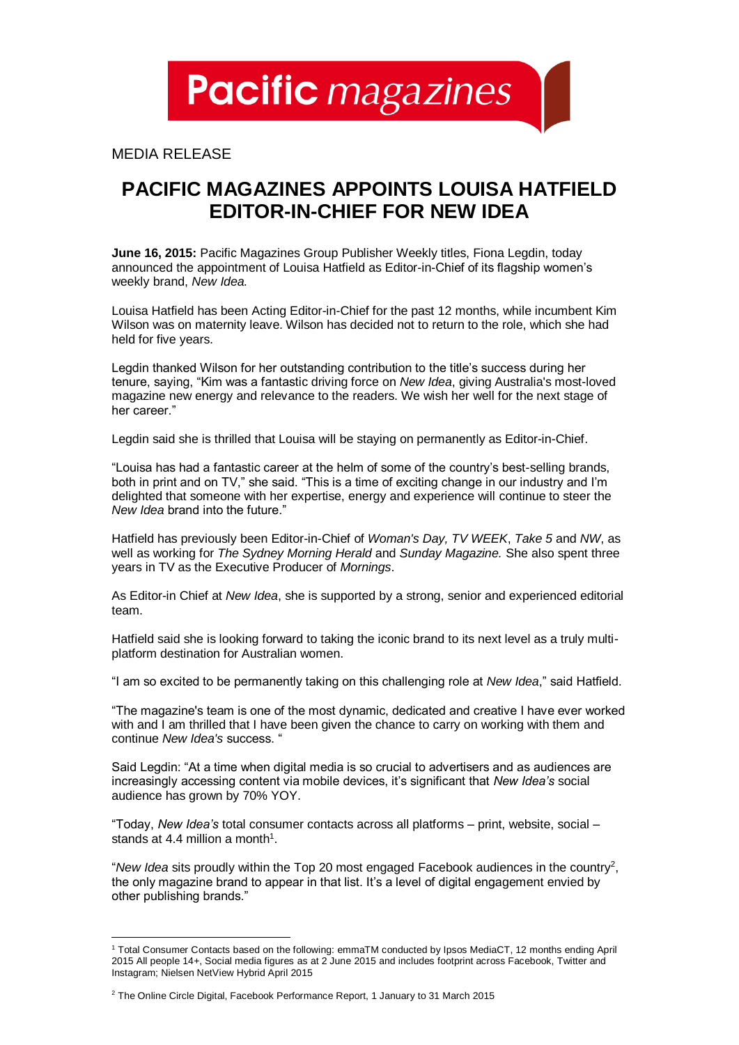**Pacific** magazines

MEDIA RELEASE

## **PACIFIC MAGAZINES APPOINTS LOUISA HATFIELD EDITOR-IN-CHIEF FOR NEW IDEA**

**June 16, 2015:** Pacific Magazines Group Publisher Weekly titles, Fiona Legdin, today announced the appointment of Louisa Hatfield as Editor-in-Chief of its flagship women's weekly brand, *New Idea.*

Louisa Hatfield has been Acting Editor-in-Chief for the past 12 months, while incumbent Kim Wilson was on maternity leave. Wilson has decided not to return to the role, which she had held for five years.

Legdin thanked Wilson for her outstanding contribution to the title's success during her tenure, saying, "Kim was a fantastic driving force on *New Idea*, giving Australia's most-loved magazine new energy and relevance to the readers. We wish her well for the next stage of her career."

Legdin said she is thrilled that Louisa will be staying on permanently as Editor-in-Chief.

"Louisa has had a fantastic career at the helm of some of the country's best-selling brands, both in print and on TV," she said. "This is a time of exciting change in our industry and I'm delighted that someone with her expertise, energy and experience will continue to steer the *New Idea* brand into the future."

Hatfield has previously been Editor-in-Chief of *Woman's Day, TV WEEK*, *Take 5* and *NW*, as well as working for *The Sydney Morning Herald* and *Sunday Magazine.* She also spent three years in TV as the Executive Producer of *Mornings*.

As Editor-in Chief at *New Idea*, she is supported by a strong, senior and experienced editorial team.

Hatfield said she is looking forward to taking the iconic brand to its next level as a truly multiplatform destination for Australian women.

"I am so excited to be permanently taking on this challenging role at *New Idea*," said Hatfield.

"The magazine's team is one of the most dynamic, dedicated and creative I have ever worked with and I am thrilled that I have been given the chance to carry on working with them and continue *New Idea's* success. "

Said Legdin: "At a time when digital media is so crucial to advertisers and as audiences are increasingly accessing content via mobile devices, it's significant that *New Idea's* social audience has grown by 70% YOY.

"Today, *New Idea's* total consumer contacts across all platforms – print, website, social – stands at 4.4 million a month<sup>1</sup>.

"*New Idea* sits proudly within the Top 20 most engaged Facebook audiences in the country<sup>2</sup> , the only magazine brand to appear in that list. It's a level of digital engagement envied by other publishing brands."

l

<sup>1</sup> Total Consumer Contacts based on the following: emmaTM conducted by Ipsos MediaCT, 12 months ending April 2015 All people 14+, Social media figures as at 2 June 2015 and includes footprint across Facebook, Twitter and Instagram; Nielsen NetView Hybrid April 2015

<sup>&</sup>lt;sup>2</sup> The Online Circle Digital, Facebook Performance Report, 1 January to 31 March 2015